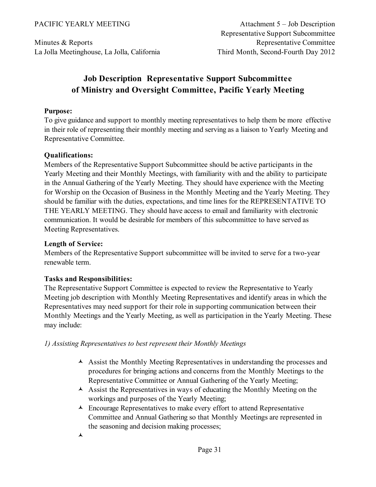Minutes & Reports La Jolla Meetinghouse, La Jolla, California

# **Job Description Representative Support Subcommittee of Ministry and Oversight Committee, Pacific Yearly Meeting**

### **Purpose:**

To give guidance and support to monthly meeting representatives to help them be more effective in their role of representing their monthly meeting and serving as a liaison to Yearly Meeting and Representative Committee.

## **Qualifications:**

Members of the Representative Support Subcommittee should be active participants in the Yearly Meeting and their Monthly Meetings, with familiarity with and the ability to participate in the Annual Gathering of the Yearly Meeting. They should have experience with the Meeting for Worship on the Occasion of Business in the Monthly Meeting and the Yearly Meeting. They should be familiar with the duties, expectations, and time lines for the REPRESENTATIVE TO THE YEARLY MEETING. They should have access to email and familiarity with electronic communication. It would be desirable for members of this subcommittee to have served as Meeting Representatives.

## **Length of Service:**

Members of the Representative Support subcommittee will be invited to serve for a two-year renewable term.

## **Tasks and Responsibilities:**

The Representative Support Committee is expected to review the Representative to Yearly Meeting job description with Monthly Meeting Representatives and identify areas in which the Representatives may need support for their role in supporting communication between their Monthly Meetings and the Yearly Meeting, as well as participation in the Yearly Meeting. These may include:

*1) Assisting Representatives to best represent their Monthly Meetings*

- $\blacktriangle$  Assist the Monthly Meeting Representatives in understanding the processes and procedures for bringing actions and concerns from the Monthly Meetings to the Representative Committee or Annual Gathering of the Yearly Meeting;
- $\triangle$  Assist the Representatives in ways of educating the Monthly Meeting on the workings and purposes of the Yearly Meeting;
- $\triangle$  Encourage Representatives to make every effort to attend Representative Committee and Annual Gathering so that Monthly Meetings are represented in the seasoning and decision making processes;
- $\blacktriangle$